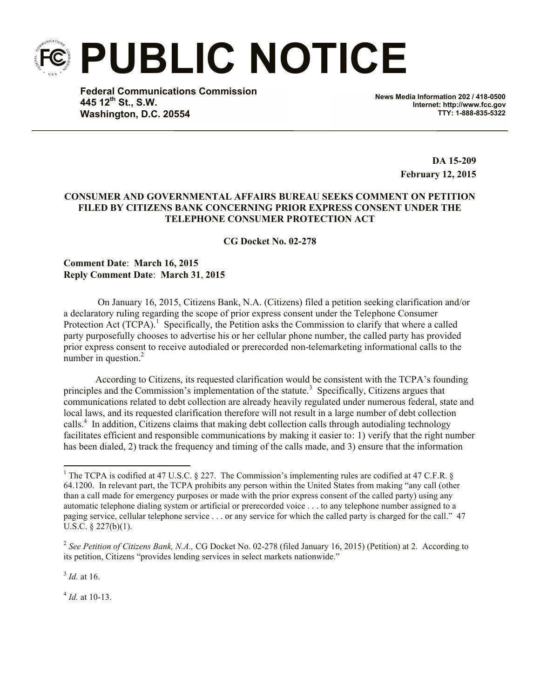**PUBLIC NOTICE**

**Federal Communications Commission 445 12th St., S.W. Washington, D.C. 20554**

**News Media Information 202 / 418-0500 Internet: http://www.fcc.gov TTY: 1-888-835-5322**

> **DA 15-209 February 12, 2015**

## **CONSUMER AND GOVERNMENTAL AFFAIRS BUREAU SEEKS COMMENT ON PETITION FILED BY CITIZENS BANK CONCERNING PRIOR EXPRESS CONSENT UNDER THE TELEPHONE CONSUMER PROTECTION ACT**

**CG Docket No. 02-278**

**Comment Date**: **March 16, 2015 Reply Comment Date**: **March 31**, **2015**

On January 16, 2015, Citizens Bank, N.A. (Citizens) filed a petition seeking clarification and/or a declaratory ruling regarding the scope of prior express consent under the Telephone Consumer Protection Act  $(TCPA)^{1}$  Specifically, the Petition asks the Commission to clarify that where a called party purposefully chooses to advertise his or her cellular phone number, the called party has provided prior express consent to receive autodialed or prerecorded non-telemarketing informational calls to the number in question. $2$ 

According to Citizens, its requested clarification would be consistent with the TCPA's founding principles and the Commission's implementation of the statute.<sup>3</sup> Specifically, Citizens argues that communications related to debt collection are already heavily regulated under numerous federal, state and local laws, and its requested clarification therefore will not result in a large number of debt collection calls. 4 In addition, Citizens claims that making debt collection calls through autodialing technology facilitates efficient and responsible communications by making it easier to: 1) verify that the right number has been dialed, 2) track the frequency and timing of the calls made, and 3) ensure that the information

3 *Id.* at 16.

 $\overline{a}$ 

4 *Id.* at 10-13.

<sup>&</sup>lt;sup>1</sup> The TCPA is codified at 47 U.S.C. § 227. The Commission's implementing rules are codified at 47 C.F.R. § 64.1200. In relevant part, the TCPA prohibits any person within the United States from making "any call (other than a call made for emergency purposes or made with the prior express consent of the called party) using any automatic telephone dialing system or artificial or prerecorded voice . . . to any telephone number assigned to a paging service, cellular telephone service . . . or any service for which the called party is charged for the call." 47 U.S.C. § 227(b)(1).

 2 *See Petition of Citizens Bank, N.A.,* CG Docket No. 02-278 (filed January 16, 2015) (Petition) at 2. According to its petition, Citizens "provides lending services in select markets nationwide."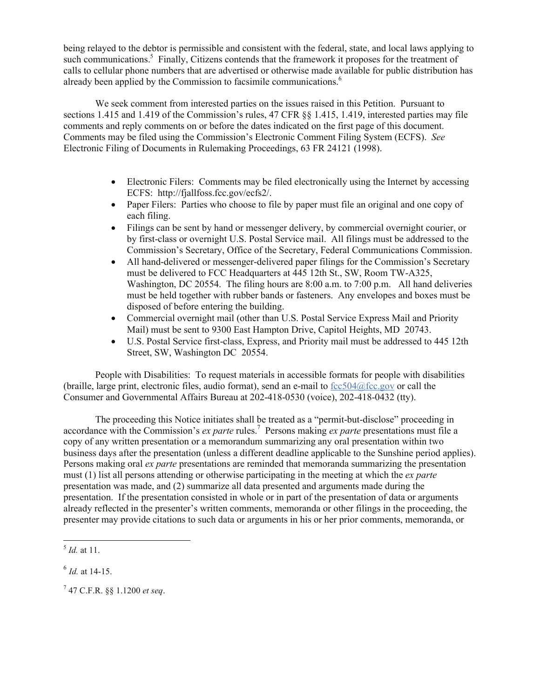being relayed to the debtor is permissible and consistent with the federal, state, and local laws applying to such communications.<sup>5</sup> Finally, Citizens contends that the framework it proposes for the treatment of calls to cellular phone numbers that are advertised or otherwise made available for public distribution has already been applied by the Commission to facsimile communications.<sup>6</sup>

We seek comment from interested parties on the issues raised in this Petition. Pursuant to sections 1.415 and 1.419 of the Commission's rules, 47 CFR §§ 1.415, 1.419, interested parties may file comments and reply comments on or before the dates indicated on the first page of this document. Comments may be filed using the Commission's Electronic Comment Filing System (ECFS). *See* Electronic Filing of Documents in Rulemaking Proceedings, 63 FR 24121 (1998).

- Electronic Filers: Comments may be filed electronically using the Internet by accessing ECFS: http://fjallfoss.fcc.gov/ecfs2/.
- Paper Filers: Parties who choose to file by paper must file an original and one copy of each filing.
- Filings can be sent by hand or messenger delivery, by commercial overnight courier, or by first-class or overnight U.S. Postal Service mail. All filings must be addressed to the Commission's Secretary, Office of the Secretary, Federal Communications Commission.
- All hand-delivered or messenger-delivered paper filings for the Commission's Secretary must be delivered to FCC Headquarters at 445 12th St., SW, Room TW-A325, Washington, DC 20554. The filing hours are 8:00 a.m. to 7:00 p.m. All hand deliveries must be held together with rubber bands or fasteners. Any envelopes and boxes must be disposed of before entering the building.
- Commercial overnight mail (other than U.S. Postal Service Express Mail and Priority Mail) must be sent to 9300 East Hampton Drive, Capitol Heights, MD 20743.
- U.S. Postal Service first-class, Express, and Priority mail must be addressed to 445 12th Street, SW, Washington DC 20554.

People with Disabilities: To request materials in accessible formats for people with disabilities (braille, large print, electronic files, audio format), send an e-mail to  $fcc504@$ fcc.gov or call the Consumer and Governmental Affairs Bureau at 202-418-0530 (voice), 202-418-0432 (tty).

The proceeding this Notice initiates shall be treated as a "permit-but-disclose" proceeding in accordance with the Commission's *ex parte* rules.<sup>7</sup> Persons making *ex parte* presentations must file a copy of any written presentation or a memorandum summarizing any oral presentation within two business days after the presentation (unless a different deadline applicable to the Sunshine period applies). Persons making oral *ex parte* presentations are reminded that memoranda summarizing the presentation must (1) list all persons attending or otherwise participating in the meeting at which the *ex parte*  presentation was made, and (2) summarize all data presented and arguments made during the presentation. If the presentation consisted in whole or in part of the presentation of data or arguments already reflected in the presenter's written comments, memoranda or other filings in the proceeding, the presenter may provide citations to such data or arguments in his or her prior comments, memoranda, or

l

<sup>5</sup> *Id.* at 11.

<sup>6</sup> *Id.* at 14-15.

<sup>7</sup> 47 C.F.R. §§ 1.1200 *et seq*.